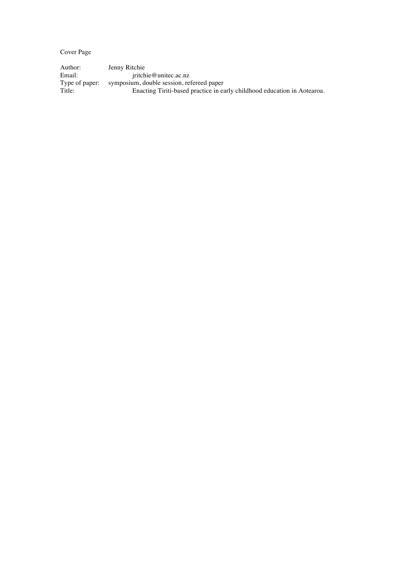Cover Page

Author: Jenny Ritchie Email: jritchie@unitec.ac.nz Type of paper: symposium, double session, refereed paper Title: Enacting Tiriti-based practice in early childhood education in Aotearoa.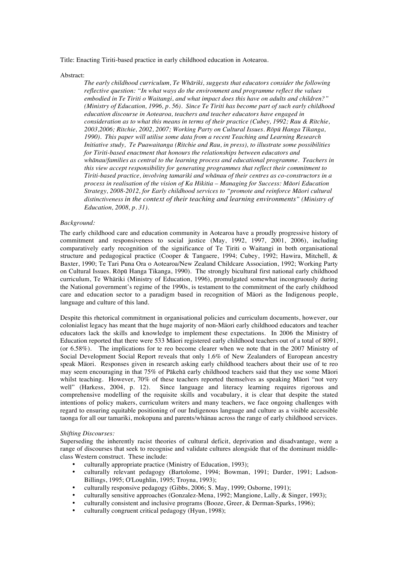Title: Enacting Tiriti-based practice in early childhood education in Aotearoa.

Abstract:

*The early childhood curriculum, Te Whāriki, suggests that educators consider the following reflective question: "In what ways do the environment and programme reflect the values embodied in Te Tiriti o Waitangi, and what impact does this have on adults and children?" (Ministry of Education, 1996, p. 56). Since Te Tiriti has become part of such early childhood education discourse in Aotearoa, teachers and teacher educators have engaged in consideration as to what this means in terms of their practice (Cubey, 1992; Rau & Ritchie, 2003,2006; Ritchie, 2002, 2007; Working Party on Cultural Issues. Rōpū Hanga Tikanga, 1990). This paper will utilise some data from a recent Teaching and Learning Research Initiative study, Te Puawaitanga (Ritchie and Rau, in press), to illustrate some possibilities for Tiriti-based enactment that honours the relationships between educators and whānau/families as central to the learning process and educational programme. Teachers in this view accept responsibility for generating programmes that reflect their commitment to Tiriti-based practice, involving tamariki and whānau of their centres as co-constructors in a process in realisation of the vision of Ka Hikitia – Managing for Success: Māori Education Strategy, 2008-2012, for Early childhood services to "promote and reinforce Māori cultural distinctiveness in the context of their teaching and learning environments" (Ministry of Education, 2008, p. 31).*

## *Background:*

The early childhood care and education community in Aotearoa have a proudly progressive history of commitment and responsiveness to social justice (May, 1992, 1997, 2001, 2006), including comparatively early recognition of the significance of Te Tiriti o Waitangi in both organisational structure and pedagogical practice (Cooper & Tangaere, 1994; Cubey, 1992; Hawira, Mitchell, & Baxter, 1990; Te Tari Puna Ora o Aotearoa/New Zealand Childcare Association, 1992; Working Party on Cultural Issues. Rōpū Hanga Tikanga, 1990). The strongly bicultural first national early childhood curriculum, Te Whäriki (Ministry of Education, 1996), promulgated somewhat incongruously during the National government's regime of the 1990s, is testament to the commitment of the early childhood care and education sector to a paradigm based in recognition of Mäori as the Indigenous people, language and culture of this land.

Despite this rhetorical commitment in organisational policies and curriculum documents, however, our colonialist legacy has meant that the huge majority of non-Mäori early childhood educators and teacher educators lack the skills and knowledge to implement these expectations. In 2006 the Ministry of Education reported that there were 533 Mäori registered early childhood teachers out of a total of 8091, (or 6.58%). The implications for te reo become clearer when we note that in the 2007 Ministry of Social Development Social Report reveals that only 1.6% of New Zealanders of European ancestry speak Mäori. Responses given in research asking early childhood teachers about their use of te reo may seem encouraging in that 75% of Pākehā early childhood teachers said that they use some Māori whilst teaching. However, 70% of these teachers reported themselves as speaking Māori "not very well" (Harkess, 2004, p. 12). Since language and literacy learning requires rigorous and comprehensive modelling of the requisite skills and vocabulary, it is clear that despite the stated intentions of policy makers, curriculum writers and many teachers, we face ongoing challenges with regard to ensuring equitable positioning of our Indigenous language and culture as a visible accessible taonga for all our tamariki, mokopuna and parents/whänau across the range of early childhood services.

## *Shifting Discourses:*

Superseding the inherently racist theories of cultural deficit, deprivation and disadvantage, were a range of discourses that seek to recognise and validate cultures alongside that of the dominant middleclass Western construct. These include:

- culturally appropriate practice (Ministry of Education, 1993);
- culturally relevant pedagogy (Bartolome, 1994; Bowman, 1991; Darder, 1991; Ladson-Billings, 1995; O'Loughlin, 1995; Troyna, 1993);
- culturally responsive pedagogy (Gibbs, 2006; S. May, 1999; Osborne, 1991);
- culturally sensitive approaches (Gonzalez-Mena, 1992; Mangione, Lally, & Singer, 1993);
- culturally consistent and inclusive programs (Booze, Greer, & Derman-Sparks, 1996);
- culturally congruent critical pedagogy (Hyun, 1998);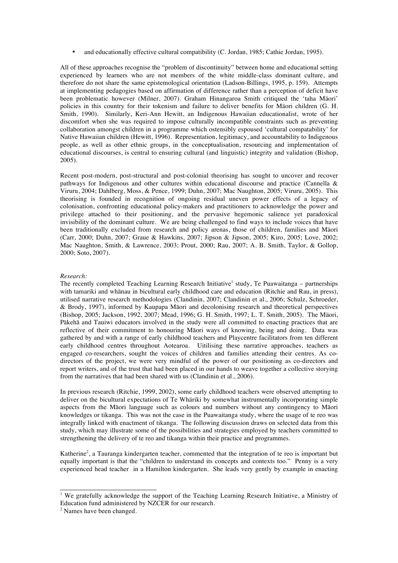• and educationally effective cultural compatibility (C. Jordan, 1985; Cathie Jordan, 1995).

All of these approaches recognise the "problem of discontinuity" between home and educational setting experienced by learners who are not members of the white middle-class dominant culture, and therefore do not share the same epistemological orientation (Ladson-Billings, 1995, p. 159). Attempts at implementing pedagogies based on affirmation of difference rather than a perception of deficit have been problematic however (Milner, 2007). Graham Hinangaroa Smith critiqued the 'taha Mäori' policies in this country for their tokenism and failure to deliver benefits for Mäori children (G. H. Smith, 1990). Similarly, Keri-Ann Hewitt, an Indigenous Hawaiian educationalist, wrote of her discomfort when she was required to impose culturally incompatible constraints such as preventing collaboration amongst children in a programme which ostensibly espoused 'cultural compatability' for Native Hawaiian children (Hewitt, 1996). Representation, legitimacy, and accountability to Indigenous people, as well as other ethnic groups, in the conceptualisation, resourcing and implementation of educational discourses, is central to ensuring cultural (and linguistic) integrity and validation (Bishop, 2005).

Recent post-modern, post-structural and post-colonial theorising has sought to uncover and recover pathways for Indigenous and other cultures within educational discourse and practice (Cannella & Viruru, 2004; Dahlberg, Moss, & Pence, 1999; Duhn, 2007; Mac Naughton, 2005; Viruru, 2005). This theorising is founded in recognition of ongoing residual uneven power effects of a legacy of colonisation, confronting educational policy-makers and practitioners to acknowledge the power and privilege attached to their positioning, and the pervasive hegemonic salience yet paradoxical invisibility of the dominant culture. We are being challenged to find ways to include voices that have been traditionally excluded from research and policy arenas, those of children, families and Mäori (Carr, 2000; Duhn, 2007; Graue & Hawkins, 2007; Jipson & Jipson, 2005; Kiro, 2005; Love, 2002; Mac Naughton, Smith, & Lawrence, 2003; Prout, 2000; Rau, 2007; A. B. Smith, Taylor, & Gollop, 2000; Soto, 2007).

## *Research:*

The recently completed Teaching Learning Research Initiative<sup>1</sup> study, Te Puawaitanga - partnerships with tamariki and whānau in bicultural early childhood care and education (Ritchie and Rau, in press), utilised narrative research methodologies (Clandinin, 2007; Clandinin et al., 2006; Schulz, Schroeder, & Brody, 1997), informed by Kaupapa Māori and decolonising research and theoretical perspectives (Bishop, 2005; Jackson, 1992, 2007; Mead, 1996; G. H. Smith, 1997; L. T. Smith, 2005). The Mäori, Pākehā and Tauiwi educators involved in the study were all committed to enacting practices that are reflective of their commitment to honouring Māori ways of knowing, being and doing. Data was gathered by and with a range of early childhood teachers and Playcentre facilitators from ten different early childhood centres throughout Aotearoa. Uitilising these narrative approaches, teachers as engaged co-researchers, sought the voices of children and families attending their centres. As codirectors of the project, we were very mindful of the power of our positioning as co-directors and report writers, and of the trust that had been placed in our hands to weave together a collective storying from the narratives that had been shared with us (Clandinin et al., 2006).

In previous research (Ritchie, 1999, 2002), some early childhood teachers were observed attempting to deliver on the bicultural expectations of Te Whäriki by somewhat instrumentally incorporating simple aspects from the Māori language such as colours and numbers without any contingency to Māori knowledges or tikanga. This was not the case in the Puawaitanga study, where the usage of te reo was integrally linked with enactment of tikanga. The following discussion draws on selected data from this study, which may illustrate some of the possibilities and strategies employed by teachers committed to strengthening the delivery of te reo and tikanga within their practice and programmes.

Katherine<sup>2</sup>, a Tauranga kindergarten teacher, commented that the integration of te reo is important but equally important is that the "children to understand its concepts and contexts too." Penny is a very experienced head teacher in a Hamilton kindergarten. She leads very gently by example in enacting

 $\overline{a}$ 

<sup>&</sup>lt;sup>1</sup> We gratefully acknowledge the support of the Teaching Learning Research Initiative, a Ministry of Education fund administered by NZCER for our research.

<sup>&</sup>lt;sup>2</sup> Names have been changed.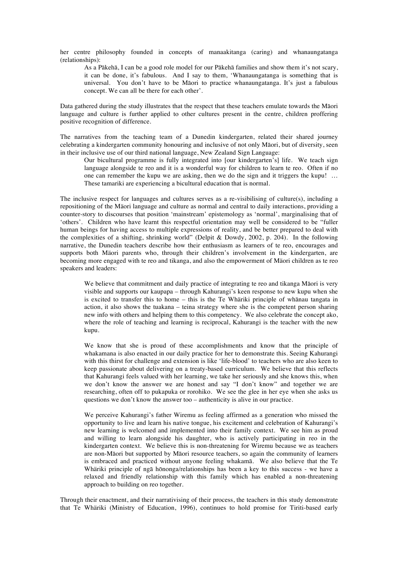her centre philosophy founded in concepts of manaakitanga (caring) and whanaungatanga (relationships):

As a Pākehā, I can be a good role model for our Pākehā families and show them it's not scary, it can be done, it's fabulous. And I say to them, 'Whanaungatanga is something that is universal. You don't have to be Māori to practice whanaungatanga. It's just a fabulous concept. We can all be there for each other'.

Data gathered during the study illustrates that the respect that these teachers emulate towards the Māori language and culture is further applied to other cultures present in the centre, children proffering positive recognition of difference.

The narratives from the teaching team of a Dunedin kindergarten, related their shared journey celebrating a kindergarten community honouring and inclusive of not only Māori, but of diversity, seen in their inclusive use of our third national language, New Zealand Sign Language:

Our bicultural programme is fully integrated into [our kindergarten's] life. We teach sign language alongside te reo and it is a wonderful way for children to learn te reo. Often if no one can remember the kupu we are asking, then we do the sign and it triggers the kupu! … These tamariki are experiencing a bicultural education that is normal.

The inclusive respect for languages and cultures serves as a re-visibilising of culture(s), including a repositioning of the Mäori language and culture as normal and central to daily interactions, providing a counter-story to discourses that position 'mainstream' epistemology as 'normal', marginalising that of 'others'. Children who have learnt this respectful orientation may well be considered to be "fuller human beings for having access to multiple expressions of reality, and be better prepared to deal with the complexities of a shifting, shrinking world" (Delpit & Dowdy, 2002, p. 204). In the following narrative, the Dunedin teachers describe how their enthusiasm as learners of te reo, encourages and supports both Mäori parents who, through their children's involvement in the kindergarten, are becoming more engaged with te reo and tikanga, and also the empowerment of Mäori children as te reo speakers and leaders:

We believe that commitment and daily practice of integrating te reo and tikanga Māori is very visible and supports our kaupapa – through Kahurangi's keen response to new kupu when she is excited to transfer this to home – this is the Te Whäriki principle of whānau tangata in action, it also shows the tuakana – teina strategy where she is the competent person sharing new info with others and helping them to this competency. We also celebrate the concept ako, where the role of teaching and learning is reciprocal, Kahurangi is the teacher with the new kupu.

We know that she is proud of these accomplishments and know that the principle of whakamana is also enacted in our daily practice for her to demonstrate this. Seeing Kahurangi with this thirst for challenge and extension is like 'life-blood' to teachers who are also keen to keep passionate about delivering on a treaty-based curriculum. We believe that this reflects that Kahurangi feels valued with her learning, we take her seriously and she knows this, when we don't know the answer we are honest and say "I don't know" and together we are researching, often off to pukapuka or rorohiko. We see the glee in her eye when she asks us questions we don't know the answer too – authenticity is alive in our practice.

We perceive Kahurangi's father Wiremu as feeling affirmed as a generation who missed the opportunity to live and learn his native tongue, his excitement and celebration of Kahurangi's new learning is welcomed and implemented into their family context. We see him as proud and willing to learn alongside his daughter, who is actively participating in reo in the kindergarten context. We believe this is non-threatening for Wiremu because we as teachers are non-Māori but supported by Māori resource teachers, so again the community of learners is embraced and practiced without anyone feeling whakamā. We also believe that the Te Whäriki principle of ngā hōnonga/relationships has been a key to this success - we have a relaxed and friendly relationship with this family which has enabled a non-threatening approach to building on reo together.

Through their enactment, and their narrativising of their process, the teachers in this study demonstrate that Te Whäriki (Ministry of Education, 1996), continues to hold promise for Tiriti-based early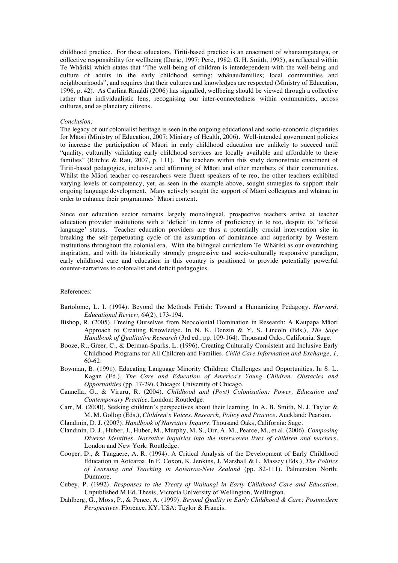childhood practice. For these educators, Tiriti-based practice is an enactment of whanaungatanga, or collective responsibility for wellbeing (Durie, 1997; Pere, 1982; G. H. Smith, 1995), as reflected within Te Whäriki which states that "The well-being of children is interdependent with the well-being and culture of adults in the early childhood setting; whänau/families; local communities and neighbourhoods", and requires that their cultures and knowledges are respected (Ministry of Education, 1996, p. 42). As Carlina Rinaldi (2006) has signalled, wellbeing should be viewed through a collective rather than individualistic lens, recognising our inter-connectedness within communities, across cultures, and as planetary citizens.

### *Conclusion:*

The legacy of our colonialist heritage is seen in the ongoing educational and socio-economic disparities for Mäori (Ministry of Education, 2007; Ministry of Health, 2006). Well-intended government policies to increase the participation of Mäori in early childhood education are unlikely to succeed until "quality, culturally validating early childhood services are locally available and affordable to these families" (Ritchie & Rau, 2007, p. 111). The teachers within this study demonstrate enactment of Tiriti-based pedagogies, inclusive and affirming of Mäori and other members of their communities. Whilst the Mäori teacher co-researchers were fluent speakers of te reo, the other teachers exhibited varying levels of competency, yet, as seen in the example above, sought strategies to support their ongoing language development. Many actively sought the support of Mäori colleagues and whänau in order to enhance their programmes' Mäori content.

Since our education sector remains largely monolingual, prospective teachers arrive at teacher education provider institutions with a 'deficit' in terms of proficiency in te reo, despite its 'official language' status. Teacher education providers are thus a potentially crucial intervention site in breaking the self-perpetuating cycle of the assumption of dominance and superiority by Western institutions throughout the colonial era. With the bilingual curriculum Te Whäriki as our overarching inspiration, and with its historically strongly progressive and socio-culturally responsive paradigm, early childhood care and education in this country is positioned to provide potentially powerful counter-narratives to colonialist and deficit pedagogies.

# References:

- Bartolome, L. I. (1994). Beyond the Methods Fetish: Toward a Humanizing Pedagogy. *Harvard, Educational Review, 64*(2), 173-194.
- Bishop, R. (2005). Freeing Ourselves from Neocolonial Domination in Research: A Kaupapa Māori Approach to Creating Knowledge. In N. K. Denzin & Y. S. Lincoln (Eds.), *The Sage Handbook of Qualitative Research* (3rd ed., pp. 109-164). Thousand Oaks, California: Sage.
- Booze, R., Greer, C., & Derman-Sparks, L. (1996). Creating Culturally Consistent and Inclusive Early Childhood Programs for All Children and Families. *Child Care Information and Exchange, 1*, 60-62.
- Bowman, B. (1991). Educating Language Minority Children: Challenges and Opportunities. In S. L. Kagan (Ed.), *The Care and Education of America's Young Children: Obstacles and Opportunities* (pp. 17-29). Chicago: University of Chicago.
- Cannella, G., & Viruru, R. (2004). *Childhood and (Post) Colonization: Power, Education and Contemporary Practice*. London: Routledge.
- Carr, M. (2000). Seeking children's perspectives about their learning. In A. B. Smith, N. J. Taylor & M. M. Gollop (Eds.), *Children's Voices. Research, Policy and Practice.* Auckland: Pearson.
- Clandinin, D. J. (2007). *Handbook of Narrative Inquiry*. Thousand Oaks, California: Sage.
- Clandinin, D. J., Huber, J., Huber, M., Murphy, M. S., Orr, A. M., Pearce, M., et al. (2006). *Composing Diverse Identities. Narrative inquiries into the interwoven lives of children and teachers*. London and New York: Routledge.
- Cooper, D., & Tangaere, A. R. (1994). A Critical Analysis of the Development of Early Childhood Education in Aotearoa. In E. Coxon, K. Jenkins, J. Marshall & L. Massey (Eds.), *The Politics of Learning and Teaching in Aotearoa-New Zealand* (pp. 82-111). Palmerston North: Dunmore.
- Cubey, P. (1992). *Responses to the Treaty of Waitangi in Early Childhood Care and Education.* Unpublished M.Ed. Thesis, Victoria University of Wellington, Wellington.
- Dahlberg, G., Moss, P., & Pence, A. (1999). *Beyond Quality in Early Childhood & Care: Postmodern Perspectives.* Florence, KY, USA: Taylor & Francis.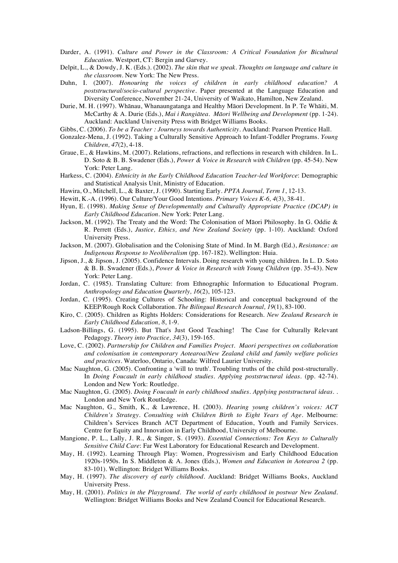- Darder, A. (1991). *Culture and Power in the Classroom: A Critical Foundation for Bicultural Education*. Westport, CT: Bergin and Garvey.
- Delpit, L., & Dowdy, J. K. (Eds.). (2002). *The skin that we speak. Thoughts on language and culture in the classroom*. New York: The New Press.
- Duhn, I. (2007). *Honouring the voices of children in early childhood education? A poststructural/socio-cultural perspective.* Paper presented at the Language Education and Diversity Conference, November 21-24, University of Waikato, Hamilton, New Zealand.
- Durie, M. H. (1997). Whānau, Whanaungatanga and Healthy Māori Development. In P. Te Whāiti, M. McCarthy & A. Durie (Eds.), *Mai i Rangiātea. Māori Wellbeing and Development* (pp. 1-24). Auckland: Auckland University Press with Bridget Williams Books.
- Gibbs, C. (2006). *To be a Teacher : Journeys towards Authenticity*. Auckland: Pearson Prentice Hall.
- Gonzalez-Mena, J. (1992). Taking a Culturally Sensitive Approach to Infant-Toddler Programs. *Young Children, 47*(2), 4-18.
- Graue, E., & Hawkins, M. (2007). Relations, refractions, and reflections in research with children. In L. D. Soto & B. B. Swadener (Eds.), *Power & Voice in Research with Children* (pp. 45-54). New York: Peter Lang.
- Harkess, C. (2004). *Ethnicity in the Early Childhood Education Teacher-led Workforce*: Demographic and Statistical Analysis Unit, Ministry of Education.
- Hawira, O., Mitchell, L., & Baxter, J. (1990). Starting Early. *PPTA Journal, Term 1*, 12-13.
- Hewitt, K.-A. (1996). Our Culture/Your Good Intentions. *Primary Voices K-6, 4*(3), 38-41.
- Hyun, E. (1998). *Making Sense of Developmentally and Culturally Appropriate Practice (DCAP) in Early Childhood Education*. New York: Peter Lang.
- Jackson, M. (1992). The Treaty and the Word: The Colonisation of Māori Philosophy. In G. Oddie & R. Perrett (Eds.), *Justice, Ethics, and New Zealand Society* (pp. 1-10). Auckland: Oxford University Press.
- Jackson, M. (2007). Globalisation and the Colonising State of Mind. In M. Bargh (Ed.), *Resistance: an Indigenous Response to Neoliberalism* (pp. 167-182). Wellington: Huia.
- Jipson, J., & Jipson, J. (2005). Confidence Intervals. Doing research with young children. In L. D. Soto & B. B. Swadener (Eds.), *Power & Voice in Research with Young Children* (pp. 35-43). New York: Peter Lang.
- Jordan, C. (1985). Translating Culture: from Ethnographic Information to Educational Program. *Anthropology and Education Quarterly, 16*(2), 105-123.
- Jordan, C. (1995). Creating Cultures of Schooling: Historical and conceptual background of the KEEP/Rough Rock Collaboration. *The Bilingual Research Journal, 19*(1), 83-100.
- Kiro, C. (2005). Children as Rights Holders: Considerations for Research. *New Zealand Research in Early Childhood Education, 8*, 1-9.
- Ladson-Billings, G. (1995). But That's Just Good Teaching! The Case for Culturally Relevant Pedagogy. *Theory into Practice, 34*(3), 159-165.
- Love, C. (2002). *Partnership for Children and Families Project. Maori perspectives on collaboration and colonisation in contemporary Aotearoa/New Zealand child and family welfare policies and practices*. Waterloo, Ontario, Canada: Wilfred Laurier University.
- Mac Naughton, G. (2005). Confronting a 'will to truth'. Troubling truths of the child post-structurally. In *Doing Foucault in early childhood studies. Applying poststructural ideas.* (pp. 42-74). London and New York: Routledge.
- Mac Naughton, G. (2005). *Doing Foucault in early childhood studies. Applying poststructural ideas.* . London and New York Routledge.
- Mac Naughton, G., Smith, K., & Lawrence, H. (2003). *Hearing young children's voices: ACT Children's Strategy. Consulting with Children Birth to Eight Years of Age*. Melbourne: Children's Services Branch ACT Department of Education, Youth and Family Services. Centre for Equity and Innovation in Early Childhood, University of Melbourne.
- Mangione, P. L., Lally, J. R., & Singer, S. (1993). *Essential Connections: Ten Keys to Culturally Sensitive Child Care*: Far West Laboratory for Educational Research and Development.
- May, H. (1992). Learning Through Play: Women, Progressivism and Early Childhood Education 1920s-1950s. In S. Middleton & A. Jones (Eds.), *Women and Education in Aotearoa 2* (pp. 83-101). Wellington: Bridget Williams Books.
- May, H. (1997). *The discovery of early childhood*. Auckland: Bridget Williams Books, Auckland University Press.
- May, H. (2001). *Politics in the Playground. The world of early childhood in postwar New Zealand.* Wellington: Bridget Williams Books and New Zealand Council for Educational Research.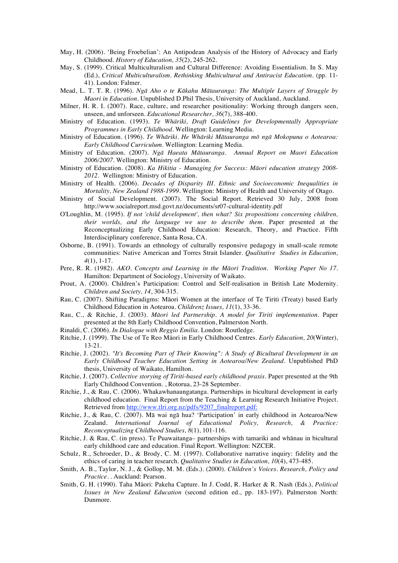- May, H. (2006). 'Being Froebelian': An Antipodean Analysis of the History of Advocacy and Early Childhood. *History of Education, 35*(2), 245-262.
- May, S. (1999). Critical Multiculturalism and Cultural Difference: Avoiding Essentialism. In S. May (Ed.), *Critical Multiculturalism. Rethinking Multicultural and Antiracist Education.* (pp. 11- 41). London: Falmer.
- Mead, L. T. T. R. (1996). *Ngā Aho o te Kākahu Mātauranga: The Multiple Layers of Struggle by Maori in Education.* Unpublished D.Phil Thesis, University of Auckland, Auckland.
- Milner, H. R. I. (2007). Race, culture, and researcher positionality: Working through dangers seen, unseen, and unforseen. *Educational Researcher, 36*(7), 388-400.
- Ministry of Education. (1993). *Te Whäriki, Draft Guidelines for Developmentally Appropriate Programmes in Early Childhood*. Wellington: Learning Media.
- Ministry of Education. (1996). *Te Whāriki. He Whāriki Mātauranga mō ngā Mokopuna o Aotearoa: Early Childhood Curriculum.* Wellington: Learning Media.
- Ministry of Education. (2007). *Ngā Haeata Mātauranga. Annual Report on Maori Education 2006/2007.* Wellington: Ministry of Education.
- Ministry of Education. (2008). *Ka Hikitia Managing for Success: Māori education strategy 2008- 2012.* Wellington: Ministry of Education.
- Ministry of Health. (2006). *Decades of Disparity III. Ethnic and Socioeconomic Inequalities in Mortality, New Zealand 1988-1999*. Wellington: Ministry of Health and University of Otago.
- Ministry of Social Development. (2007). The Social Report. Retrieved 30 July, 2008 from http://www.socialreport.msd.govt.nz/documents/sr07-cultural-identity.pdf
- O'Loughlin, M. (1995). *If not 'child development', then what? Six propositions concerning children, their worlds, and the language we use to describe them.* Paper presented at the Reconceptualizing Early Childhood Education: Research, Theory, and Practice. Fifth Interdisciplinary conference, Santa Rosa, CA.
- Osborne, B. (1991). Towards an ethnology of culturally responsive pedagogy in small-scale remote communities: Native American and Torres Strait Islander. *Qualitative Studies in Education, 4*(1), 1-17.
- Pere, R. R. (1982). *AKO. Concepts and Learning in the Māori Tradition. Working Paper No 17.* Hamilton: Department of Sociology, University of Waikato.
- Prout, A. (2000). Children's Participation: Control and Self-realisation in British Late Modernity. *Children and Society, 14*, 304-315.
- Rau, C. (2007). Shifting Paradigms: Māori Women at the interface of Te Tiriti (Treaty) based Early Childhood Education in Aotearoa. *Childrenz Issues, 11*(1), 33-36.
- Rau, C., & Ritchie, J. (2003). *Māori led Partnership. A model for Tiriti implementation.* Paper presented at the 8th Early Childhood Convention, Palmerston North.
- Rinaldi, C. (2006). *In Dialogue with Reggio Emilia*. London: Routledge.
- Ritchie, J. (1999). The Use of Te Reo Mäori in Early Childhood Centres. *Early Education, 20*(Winter), 13-21.
- Ritchie, J. (2002). *"It's Becoming Part of Their Knowing": A Study of Bicultural Development in an Early Childhood Teacher Education Setting in Aotearoa/New Zealand.* Unpublished PhD thesis, University of Waikato, Hamilton.
- Ritchie, J. (2007). *Collective storying of Tiriti-based early childhood praxis.* Paper presented at the 9th Early Childhood Convention. , Rotorua, 23-28 September.
- Ritchie, J., & Rau, C. (2006). Whakawhanaungatanga. Partnerships in bicultural development in early childhood education. Final Report from the Teaching & Learning Research Initiative Project. Retrieved from http://www.tlri.org.nz/pdfs/9207\_finalreport.pdf:
- Ritchie, J., & Rau, C. (2007). Mā wai ngā hua? 'Participation' in early childhood in Aotearoa/New Zealand. *International Journal of Educational Policy, Research, & Practice: Reconceptualizing Childhood Studies, 8*(1), 101-116.
- Ritchie, J. & Rau, C. (in press). Te Puawaitanga– partnerships with tamariki and whānau in bicultural early childhood care and education. Final Report. Wellington: NZCER.
- Schulz, R., Schroeder, D., & Brody, C. M. (1997). Collaborative narrative inquiry: fidelity and the ethics of caring in teacher research. *Qualitative Studies in Education, 10*(4), 473-485.
- Smith, A. B., Taylor, N. J., & Gollop, M. M. (Eds.). (2000). *Children's Voices. Research, Policy and Practice.* . Auckland: Pearson.
- Smith, G. H. (1990). Taha Mäori: Pakeha Capture. In J. Codd, R. Harker & R. Nash (Eds.), *Political Issues in New Zealand Education* (second edition ed., pp. 183-197). Palmerston North: Dunmore.